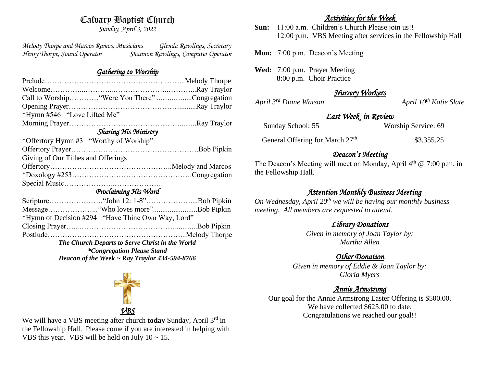# Calvary Baptist Church

*Sunday, April 3, 2022*

*Melody Thorpe and Marcos Ramos, Musicians Glenda Rawlings, Secretary Henry Thorpe, Sound Operator Shannon Rawlings, Computer Operator* 

#### *Gathering to Worship*

| Call to Worship "Were You There" Congregation     |                                                                 |
|---------------------------------------------------|-----------------------------------------------------------------|
|                                                   |                                                                 |
| *Hymn #546 "Love Lifted Me"                       |                                                                 |
|                                                   |                                                                 |
| <u> Sharing His Ministry</u>                      |                                                                 |
| *Offertory Hymn #3 "Worthy of Worship"            |                                                                 |
|                                                   |                                                                 |
| Giving of Our Tithes and Offerings                |                                                                 |
|                                                   |                                                                 |
|                                                   |                                                                 |
|                                                   |                                                                 |
| Proclaiming His Word                              |                                                                 |
|                                                   |                                                                 |
|                                                   |                                                                 |
| *Hymn of Decision #294 "Have Thine Own Way, Lord" |                                                                 |
|                                                   | $\mathbf{r}$ and $\mathbf{r}$ and $\mathbf{r}$ and $\mathbf{r}$ |

Closing Prayer…...…………………………………............Bob Pipkin Postlude………………………………………………...Melody Thorpe

*The Church Departs to Serve Christ in the World \*Congregation Please Stand Deacon of the Week ~ Ray Traylor 434-594-8766*



We will have a VBS meeting after church **today** Sunday, April 3rd in the Fellowship Hall. Please come if you are interested in helping with VBS this year. VBS will be held on July  $10 \sim 15$ .

#### *Activities for the Week*

**Sun:** 11:00 a.m. Children's Church Please join us!! 12:00 p.m. VBS Meeting after services in the Fellowship Hall

**Mon:** 7:00 p.m. Deacon's Meeting

**Wed:** 7:00 p.m. Prayer Meeting 8:00 p.m. Choir Practice

## *Nursery Workers*

*April 3rd Diane Watson April 10th Katie Slate* 

## *Last Week in Review*

Sunday School: 55 Worship Service: 69

General Offering for March 27<sup>th</sup> \$3,355.25

## *Deacon's Meeting*

The Deacon's Meeting will meet on Monday, April  $4<sup>th</sup>$  @ 7:00 p.m. in the Fellowship Hall.

# *Attention Monthly Business Meeting*

*On Wednesday, April 20th we will be having our monthly business meeting. All members are requested to attend.* 

## *Library Donations*

*Given in memory of Joan Taylor by: Martha Allen*

# *Other Donation*

*Given in memory of Eddie & Joan Taylor by: Gloria Myers*

## *Annie Armstrong*

Our goal for the Annie Armstrong Easter Offering is \$500.00. We have collected \$625.00 to date. Congratulations we reached our goal!!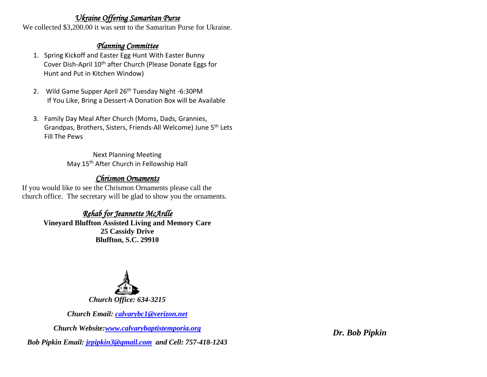### *Ukraine Offering Samaritan Purse*

We collected \$3,200.00 it was sent to the Samaritan Purse for Ukraine.

# *Planning Committee*

- 1. Spring Kickoff and Easter Egg Hunt With Easter Bunny Cover Dish-April 10<sup>th</sup> after Church (Please Donate Eggs for Hunt and Put in Kitchen Window)
- 2. Wild Game Supper April 26<sup>th</sup> Tuesday Night -6:30PM If You Like, Bring a Dessert-A Donation Box will be Available
- 3. Family Day Meal After Church (Moms, Dads, Grannies, Grandpas, Brothers, Sisters, Friends-All Welcome) June 5th Lets Fill The Pews

Next Planning Meeting May 15th After Church in Fellowship Hall

# *Chrismon Ornaments*

If you would like to see the Chrismon Ornaments please call the church office. The secretary will be glad to show you the ornaments.

#### *Rehab for Jeannette McArdle*  **Vineyard Bluffton Assisted Living and Memory Care 25 Cassidy Drive Bluffton, S.C. 29910**



*Church Email: [calvarybc1@verizon.net](mailto:cbcemporiaoffice@gmail.com)*

*Church Website[:www.calvarybaptistemporia.org](http://www.calvarybaptistemporia.org/)*

*Bob Pipkin Email: [jrpipkin3@gmail.com](mailto:jrpipkin3@gmail.com) and Cell: 757-418-1243*

*Dr. Bob Pipkin*